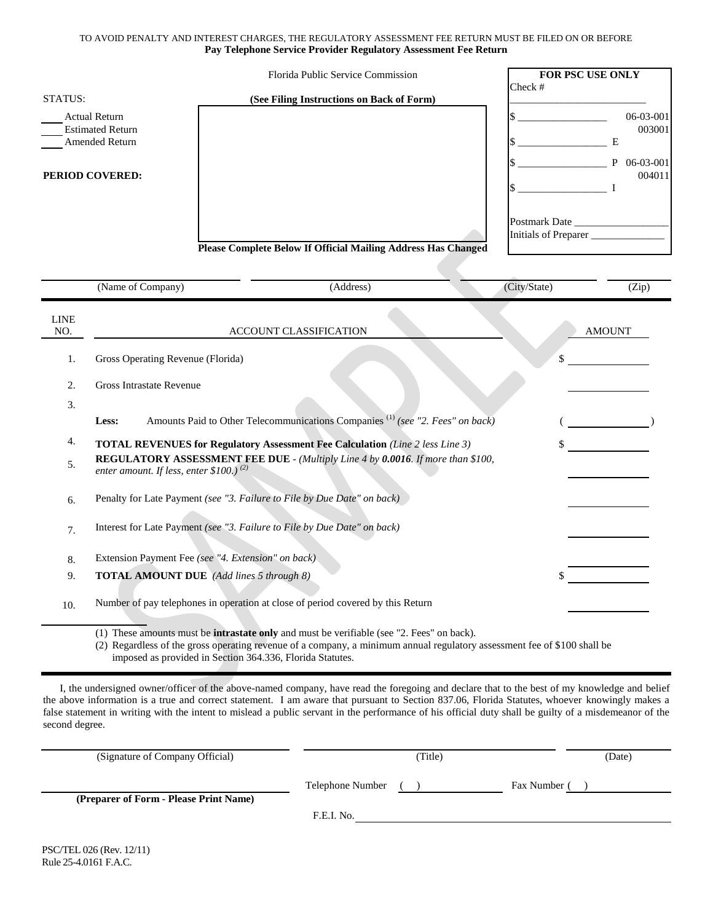## TO AVOID PENALTY AND INTEREST CHARGES, THE REGULATORY ASSESSMENT FEE RETURN MUST BE FILED ON OR BEFORE **Pay Telephone Service Provider Regulatory Assessment Fee Return**

| STATUS:                                   | Florida Public Service Commission<br>(See Filing Instructions on Back of Form) | <b>FOR PSC USE ONLY</b><br>Check # |                          |
|-------------------------------------------|--------------------------------------------------------------------------------|------------------------------------|--------------------------|
|                                           |                                                                                |                                    |                          |
| <b>Actual Return</b>                      |                                                                                |                                    | 06-03-001                |
| <b>Estimated Return</b><br>Amended Return |                                                                                |                                    | 003001<br>Е              |
| PERIOD COVERED:                           |                                                                                |                                    | 06-03-001<br>P<br>004011 |
|                                           |                                                                                |                                    |                          |
|                                           |                                                                                | Postmark Date                      |                          |
|                                           |                                                                                | Initials of Preparer               |                          |
|                                           | <b>Please Complete Below If Official Mailing Address Has Changed</b>           |                                    |                          |
| (Name of Company)                         | (Address)                                                                      | (City/State)                       | (Zip)                    |
| <b>LINE</b><br>NO.                        | <b>ACCOUNT CLASSIFICATION</b>                                                  | <b>AMOUNT</b>                      |                          |

| NU.            | ACCOUNT CLASSIFICATION                                                                                                               | <b>AIVIUUIN 1</b> |
|----------------|--------------------------------------------------------------------------------------------------------------------------------------|-------------------|
| 1.             | Gross Operating Revenue (Florida)                                                                                                    |                   |
| 2.             | Gross Intrastate Revenue                                                                                                             |                   |
| 3.             |                                                                                                                                      |                   |
|                | Amounts Paid to Other Telecommunications Companies <sup>(1)</sup> (see "2. Fees" on back)<br>Less:                                   |                   |
| 4.             | <b>TOTAL REVENUES for Regulatory Assessment Fee Calculation</b> (Line 2 less Line 3)                                                 |                   |
| 5.             | <b>REGULATORY ASSESSMENT FEE DUE - (Multiply Line 4 by 0.0016. If more than \$100,</b><br>enter amount. If less, enter \$100.) $(2)$ |                   |
| 6.             | Penalty for Late Payment (see "3. Failure to File by Due Date" on back)                                                              |                   |
| 7 <sub>1</sub> | Interest for Late Payment (see "3. Failure to File by Due Date" on back)                                                             |                   |
| 8.             | Extension Payment Fee (see "4. Extension" on back)                                                                                   |                   |
| 9.             | <b>TOTAL AMOUNT DUE</b> (Add lines 5 through 8)                                                                                      |                   |
| 10.            | Number of pay telephones in operation at close of period covered by this Return                                                      |                   |

(1) These amounts must be **intrastate only** and must be verifiable (see "2. Fees" on back).

(2) Regardless of the gross operating revenue of a company, a minimum annual regulatory assessment fee of \$100 shall be imposed as provided in Section 364.336, Florida Statutes.

I, the undersigned owner/officer of the above-named company, have read the foregoing and declare that to the best of my knowledge and belief the above information is a true and correct statement. I am aware that pursuant to Section 837.06, Florida Statutes, whoever knowingly makes a false statement in writing with the intent to mislead a public servant in the performance of his official duty shall be guilty of a misdemeanor of the second degree.

| (Signature of Company Official)        |                  | Title) |              | (Date) |
|----------------------------------------|------------------|--------|--------------|--------|
|                                        | Telephone Number |        | Fax Number ( |        |
| (Preparer of Form - Please Print Name) |                  |        |              |        |
|                                        | F.E.I. No.       |        |              |        |
|                                        |                  |        |              |        |

L,